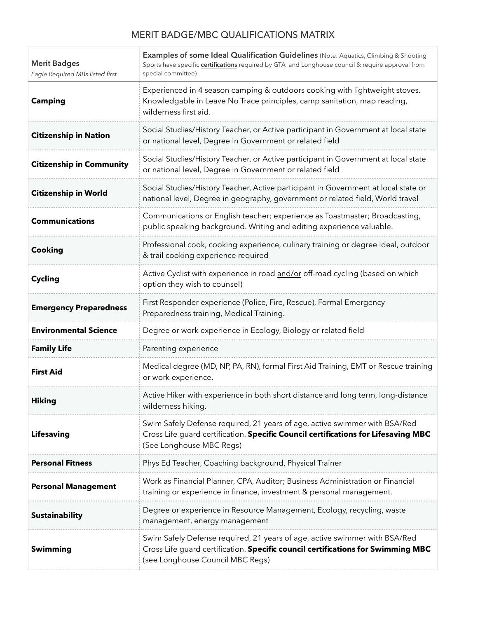## MERIT BADGE/MBC QUALIFICATIONS MATRIX

| <b>Merit Badges</b><br>Eagle Required MBs listed first | Examples of some Ideal Qualification Guidelines (Note: Aquatics, Climbing & Shooting<br>Sports have specific <i>certifications</i> required by GTA and Longhouse council & require approval from<br>special committee) |
|--------------------------------------------------------|------------------------------------------------------------------------------------------------------------------------------------------------------------------------------------------------------------------------|
| <b>Camping</b>                                         | Experienced in 4 season camping & outdoors cooking with lightweight stoves.<br>Knowledgable in Leave No Trace principles, camp sanitation, map reading,<br>wilderness first aid.                                       |
| <b>Citizenship in Nation</b>                           | Social Studies/History Teacher, or Active participant in Government at local state<br>or national level, Degree in Government or related field                                                                         |
| <b>Citizenship in Community</b>                        | Social Studies/History Teacher, or Active participant in Government at local state<br>or national level, Degree in Government or related field                                                                         |
| <b>Citizenship in World</b>                            | Social Studies/History Teacher, Active participant in Government at local state or<br>national level, Degree in geography, government or related field, World travel                                                   |
| <b>Communications</b>                                  | Communications or English teacher; experience as Toastmaster; Broadcasting,<br>public speaking background. Writing and editing experience valuable.                                                                    |
| Cooking                                                | Professional cook, cooking experience, culinary training or degree ideal, outdoor<br>& trail cooking experience required                                                                                               |
| <b>Cycling</b>                                         | Active Cyclist with experience in road and/or off-road cycling (based on which<br>option they wish to counsel)                                                                                                         |
| <b>Emergency Preparedness</b>                          | First Responder experience (Police, Fire, Rescue), Formal Emergency<br>Preparedness training, Medical Training.                                                                                                        |
| <b>Environmental Science</b>                           | Degree or work experience in Ecology, Biology or related field                                                                                                                                                         |
| <b>Family Life</b>                                     | Parenting experience                                                                                                                                                                                                   |
| <b>First Aid</b>                                       | Medical degree (MD, NP, PA, RN), formal First Aid Training, EMT or Rescue training<br>or work experience.                                                                                                              |
| <b>Hiking</b>                                          | Active Hiker with experience in both short distance and long term, long-distance<br>wilderness hiking.                                                                                                                 |
| <b>Lifesaving</b>                                      | Swim Safely Defense required, 21 years of age, active swimmer with BSA/Red<br>Cross Life guard certification. Specific Council certifications for Lifesaving MBC<br>(See Longhouse MBC Regs)                           |
| <b>Personal Fitness</b>                                | Phys Ed Teacher, Coaching background, Physical Trainer                                                                                                                                                                 |
| <b>Personal Management</b>                             | Work as Financial Planner, CPA, Auditor; Business Administration or Financial<br>training or experience in finance, investment & personal management.                                                                  |
| <b>Sustainability</b>                                  | Degree or experience in Resource Management, Ecology, recycling, waste<br>management, energy management                                                                                                                |
| Swimming                                               | Swim Safely Defense required, 21 years of age, active swimmer with BSA/Red<br>Cross Life guard certification. Specific council certifications for Swimming MBC<br>(see Longhouse Council MBC Regs)                     |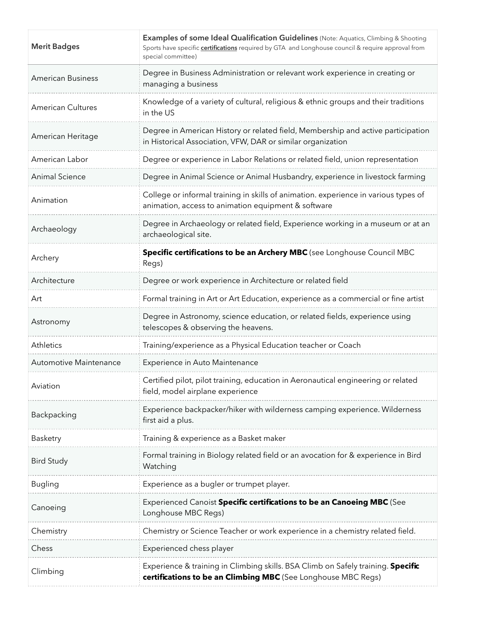| <b>Merit Badges</b>           | Examples of some Ideal Qualification Guidelines (Note: Aquatics, Climbing & Shooting<br>Sports have specific <i>certifications</i> required by GTA and Longhouse council & require approval from<br>special committee) |
|-------------------------------|------------------------------------------------------------------------------------------------------------------------------------------------------------------------------------------------------------------------|
| <b>American Business</b>      | Degree in Business Administration or relevant work experience in creating or<br>managing a business                                                                                                                    |
| <b>American Cultures</b>      | Knowledge of a variety of cultural, religious & ethnic groups and their traditions<br>in the US                                                                                                                        |
| American Heritage             | Degree in American History or related field, Membership and active participation<br>in Historical Association, VFW, DAR or similar organization                                                                        |
| American Labor                | Degree or experience in Labor Relations or related field, union representation                                                                                                                                         |
| <b>Animal Science</b>         | Degree in Animal Science or Animal Husbandry, experience in livestock farming                                                                                                                                          |
| Animation                     | College or informal training in skills of animation. experience in various types of<br>animation, access to animation equipment & software                                                                             |
| Archaeology                   | Degree in Archaeology or related field, Experience working in a museum or at an<br>archaeological site.                                                                                                                |
| Archery                       | Specific certifications to be an Archery MBC (see Longhouse Council MBC<br>Regs)                                                                                                                                       |
| Architecture                  | Degree or work experience in Architecture or related field                                                                                                                                                             |
| Art                           | Formal training in Art or Art Education, experience as a commercial or fine artist                                                                                                                                     |
| Astronomy                     | Degree in Astronomy, science education, or related fields, experience using<br>telescopes & observing the heavens.                                                                                                     |
| Athletics                     | Training/experience as a Physical Education teacher or Coach                                                                                                                                                           |
| <b>Automotive Maintenance</b> | Experience in Auto Maintenance                                                                                                                                                                                         |
| Aviation                      | Certified pilot, pilot training, education in Aeronautical engineering or related<br>field, model airplane experience                                                                                                  |
| Backpacking                   | Experience backpacker/hiker with wilderness camping experience. Wilderness<br>first aid a plus.                                                                                                                        |
| Basketry                      | Training & experience as a Basket maker                                                                                                                                                                                |
| <b>Bird Study</b>             | Formal training in Biology related field or an avocation for & experience in Bird<br>Watching                                                                                                                          |
| <b>Bugling</b>                | Experience as a bugler or trumpet player.                                                                                                                                                                              |
| Canoeing                      | Experienced Canoist Specific certifications to be an Canoeing MBC (See<br>Longhouse MBC Regs)                                                                                                                          |
| Chemistry                     | Chemistry or Science Teacher or work experience in a chemistry related field.                                                                                                                                          |
| Chess                         | Experienced chess player                                                                                                                                                                                               |
| Climbing                      | Experience & training in Climbing skills. BSA Climb on Safely training. Specific<br>certifications to be an Climbing MBC (See Longhouse MBC Regs)                                                                      |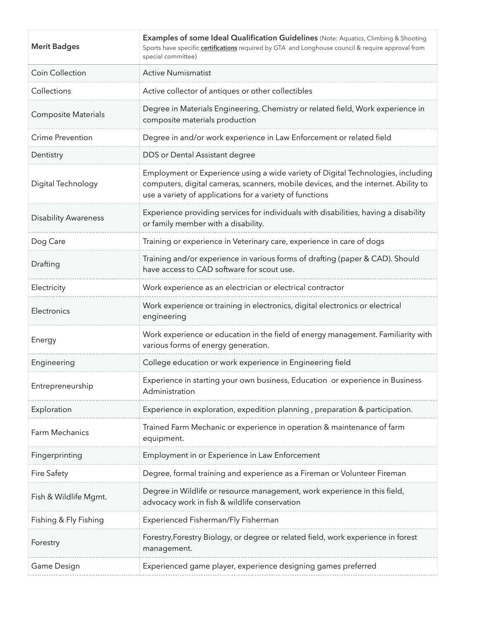| <b>Merit Badges</b>         | Examples of some Ideal Qualification Guidelines (Note: Aquatics, Climbing & Shooting<br>Sports have specific <b>certifications</b> required by GTA and Longhouse council & require approval from<br>special committee)             |
|-----------------------------|------------------------------------------------------------------------------------------------------------------------------------------------------------------------------------------------------------------------------------|
| Coin Collection             | <b>Active Numismatist</b>                                                                                                                                                                                                          |
| Collections                 | Active collector of antiques or other collectibles                                                                                                                                                                                 |
| <b>Composite Materials</b>  | Degree in Materials Engineering, Chemistry or related field, Work experience in<br>composite materials production                                                                                                                  |
| <b>Crime Prevention</b>     | Degree in and/or work experience in Law Enforcement or related field                                                                                                                                                               |
| Dentistry                   | DDS or Dental Assistant degree                                                                                                                                                                                                     |
| Digital Technology          | Employment or Experience using a wide variety of Digital Technologies, including<br>computers, digital cameras, scanners, mobile devices, and the internet. Ability to<br>use a variety of applications for a variety of functions |
| <b>Disability Awareness</b> | Experience providing services for individuals with disabilities, having a disability<br>or family member with a disability.                                                                                                        |
| Dog Care                    | Training or experience in Veterinary care, experience in care of dogs                                                                                                                                                              |
| Drafting                    | Training and/or experience in various forms of drafting (paper & CAD). Should<br>have access to CAD software for scout use.                                                                                                        |
| Electricity                 | Work experience as an electrician or electrical contractor                                                                                                                                                                         |
| Electronics                 | Work experience or training in electronics, digital electronics or electrical<br>engineering                                                                                                                                       |
| Energy                      | Work experience or education in the field of energy management. Familiarity with<br>various forms of energy generation.                                                                                                            |
| Engineering                 | College education or work experience in Engineering field                                                                                                                                                                          |
| Entrepreneurship            | Experience in starting your own business, Education or experience in Business<br>Administration                                                                                                                                    |
| Exploration                 | Experience in exploration, expedition planning, preparation & participation.                                                                                                                                                       |
| Farm Mechanics              | Trained Farm Mechanic or experience in operation & maintenance of farm<br>equipment.                                                                                                                                               |
| Fingerprinting              | Employment in or Experience in Law Enforcement                                                                                                                                                                                     |
| Fire Safety                 | Degree, formal training and experience as a Fireman or Volunteer Fireman                                                                                                                                                           |
| Fish & Wildlife Mgmt.       | Degree in Wildlife or resource management, work experience in this field,<br>advocacy work in fish & wildlife conservation                                                                                                         |
| Fishing & Fly Fishing       | Experienced Fisherman/Fly Fisherman                                                                                                                                                                                                |
| Forestry                    | Forestry, Forestry Biology, or degree or related field, work experience in forest<br>management.                                                                                                                                   |
| Game Design                 | Experienced game player, experience designing games preferred                                                                                                                                                                      |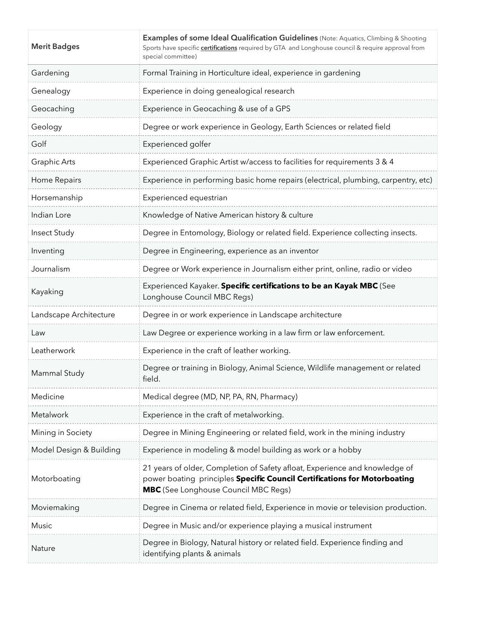| <b>Merit Badges</b>     | Examples of some Ideal Qualification Guidelines (Note: Aquatics, Climbing & Shooting<br>Sports have specific certifications required by GTA and Longhouse council & require approval from<br>special committee) |
|-------------------------|-----------------------------------------------------------------------------------------------------------------------------------------------------------------------------------------------------------------|
| Gardening               | Formal Training in Horticulture ideal, experience in gardening                                                                                                                                                  |
| Genealogy               | Experience in doing genealogical research                                                                                                                                                                       |
| Geocaching              | Experience in Geocaching & use of a GPS                                                                                                                                                                         |
| Geology                 | Degree or work experience in Geology, Earth Sciences or related field                                                                                                                                           |
| Golf                    | Experienced golfer                                                                                                                                                                                              |
| Graphic Arts            | Experienced Graphic Artist w/access to facilities for requirements 3 & 4                                                                                                                                        |
| Home Repairs            | Experience in performing basic home repairs (electrical, plumbing, carpentry, etc)                                                                                                                              |
| Horsemanship            | Experienced equestrian                                                                                                                                                                                          |
| Indian Lore             | Knowledge of Native American history & culture                                                                                                                                                                  |
| Insect Study            | Degree in Entomology, Biology or related field. Experience collecting insects.                                                                                                                                  |
| Inventing               | Degree in Engineering, experience as an inventor                                                                                                                                                                |
| Journalism              | Degree or Work experience in Journalism either print, online, radio or video                                                                                                                                    |
| Kayaking                | Experienced Kayaker. Specific certifications to be an Kayak MBC (See<br>Longhouse Council MBC Regs)                                                                                                             |
| Landscape Architecture  | Degree in or work experience in Landscape architecture                                                                                                                                                          |
| Law                     | Law Degree or experience working in a law firm or law enforcement.                                                                                                                                              |
| Leatherwork             | Experience in the craft of leather working.                                                                                                                                                                     |
| Mammal Study            | Degree or training in Biology, Animal Science, Wildlife management or related<br>field.                                                                                                                         |
| Medicine                | Medical degree (MD, NP, PA, RN, Pharmacy)                                                                                                                                                                       |
| Metalwork               | Experience in the craft of metalworking.                                                                                                                                                                        |
| Mining in Society       | Degree in Mining Engineering or related field, work in the mining industry                                                                                                                                      |
| Model Design & Building | Experience in modeling & model building as work or a hobby                                                                                                                                                      |
| Motorboating            | 21 years of older, Completion of Safety afloat, Experience and knowledge of<br>power boating principles Specific Council Certifications for Motorboating<br><b>MBC</b> (See Longhouse Council MBC Regs)         |
| Moviemaking             | Degree in Cinema or related field, Experience in movie or television production.                                                                                                                                |
| Music                   | Degree in Music and/or experience playing a musical instrument                                                                                                                                                  |
| Nature                  | Degree in Biology, Natural history or related field. Experience finding and<br>identifying plants & animals                                                                                                     |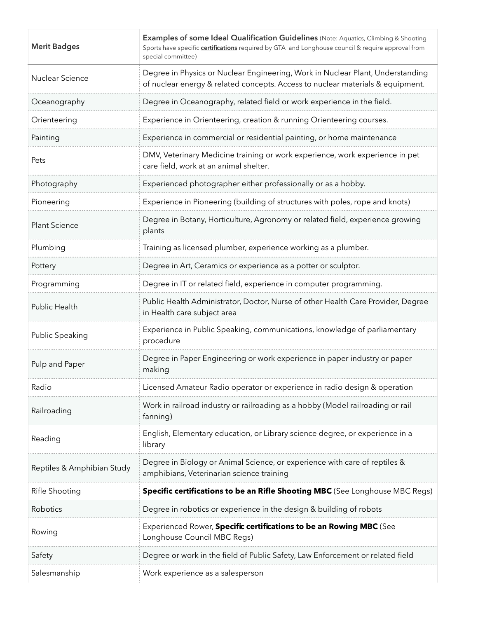| <b>Merit Badges</b>        | Examples of some Ideal Qualification Guidelines (Note: Aquatics, Climbing & Shooting<br>Sports have specific certifications required by GTA and Longhouse council & require approval from<br>special committee) |
|----------------------------|-----------------------------------------------------------------------------------------------------------------------------------------------------------------------------------------------------------------|
| Nuclear Science            | Degree in Physics or Nuclear Engineering, Work in Nuclear Plant, Understanding<br>of nuclear energy & related concepts. Access to nuclear materials & equipment.                                                |
| Oceanography               | Degree in Oceanography, related field or work experience in the field.                                                                                                                                          |
| Orienteering               | Experience in Orienteering, creation & running Orienteering courses.                                                                                                                                            |
| Painting                   | Experience in commercial or residential painting, or home maintenance                                                                                                                                           |
| Pets                       | DMV, Veterinary Medicine training or work experience, work experience in pet<br>care field, work at an animal shelter.                                                                                          |
| Photography                | Experienced photographer either professionally or as a hobby.                                                                                                                                                   |
| Pioneering                 | Experience in Pioneering (building of structures with poles, rope and knots)                                                                                                                                    |
| <b>Plant Science</b>       | Degree in Botany, Horticulture, Agronomy or related field, experience growing<br>plants                                                                                                                         |
| Plumbing                   | Training as licensed plumber, experience working as a plumber.                                                                                                                                                  |
| Pottery                    | Degree in Art, Ceramics or experience as a potter or sculptor.                                                                                                                                                  |
| Programming                | Degree in IT or related field, experience in computer programming.                                                                                                                                              |
| Public Health              | Public Health Administrator, Doctor, Nurse of other Health Care Provider, Degree<br>in Health care subject area                                                                                                 |
| Public Speaking            | Experience in Public Speaking, communications, knowledge of parliamentary<br>procedure                                                                                                                          |
| Pulp and Paper             | Degree in Paper Engineering or work experience in paper industry or paper<br>making                                                                                                                             |
| Radio                      | Licensed Amateur Radio operator or experience in radio design & operation                                                                                                                                       |
| Railroading                | Work in railroad industry or railroading as a hobby (Model railroading or rail<br>fanning)                                                                                                                      |
| Reading                    | English, Elementary education, or Library science degree, or experience in a<br>library                                                                                                                         |
| Reptiles & Amphibian Study | Degree in Biology or Animal Science, or experience with care of reptiles &<br>amphibians, Veterinarian science training                                                                                         |
| Rifle Shooting             | Specific certifications to be an Rifle Shooting MBC (See Longhouse MBC Regs)                                                                                                                                    |
| Robotics                   | Degree in robotics or experience in the design & building of robots                                                                                                                                             |
| Rowing                     | Experienced Rower, Specific certifications to be an Rowing MBC (See<br>Longhouse Council MBC Regs)                                                                                                              |
| Safety                     | Degree or work in the field of Public Safety, Law Enforcement or related field                                                                                                                                  |
| Salesmanship               | Work experience as a salesperson                                                                                                                                                                                |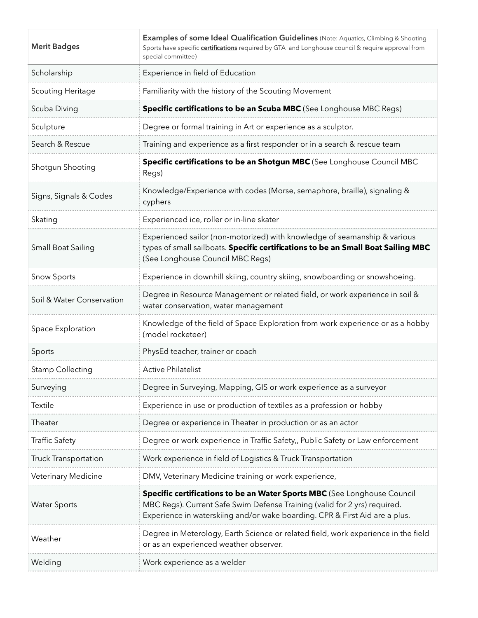| <b>Merit Badges</b>       | Examples of some Ideal Qualification Guidelines (Note: Aquatics, Climbing & Shooting<br>Sports have specific certifications required by GTA and Longhouse council & require approval from<br>special committee)                      |
|---------------------------|--------------------------------------------------------------------------------------------------------------------------------------------------------------------------------------------------------------------------------------|
| Scholarship               | Experience in field of Education                                                                                                                                                                                                     |
| <b>Scouting Heritage</b>  | Familiarity with the history of the Scouting Movement                                                                                                                                                                                |
| Scuba Diving              | Specific certifications to be an Scuba MBC (See Longhouse MBC Regs)                                                                                                                                                                  |
| Sculpture                 | Degree or formal training in Art or experience as a sculptor.                                                                                                                                                                        |
| Search & Rescue           | Training and experience as a first responder or in a search & rescue team                                                                                                                                                            |
| Shotgun Shooting          | Specific certifications to be an Shotgun MBC (See Longhouse Council MBC<br>Regs)                                                                                                                                                     |
| Signs, Signals & Codes    | Knowledge/Experience with codes (Morse, semaphore, braille), signaling &<br>cyphers                                                                                                                                                  |
| Skating                   | Experienced ice, roller or in-line skater                                                                                                                                                                                            |
| <b>Small Boat Sailing</b> | Experienced sailor (non-motorized) with knowledge of seamanship & various<br>types of small sailboats. Specific certifications to be an Small Boat Sailing MBC<br>(See Longhouse Council MBC Regs)                                   |
| <b>Snow Sports</b>        | Experience in downhill skiing, country skiing, snowboarding or snowshoeing.                                                                                                                                                          |
| Soil & Water Conservation | Degree in Resource Management or related field, or work experience in soil &<br>water conservation, water management                                                                                                                 |
| Space Exploration         | Knowledge of the field of Space Exploration from work experience or as a hobby<br>(model rocketeer)                                                                                                                                  |
| Sports                    | PhysEd teacher, trainer or coach                                                                                                                                                                                                     |
| <b>Stamp Collecting</b>   | <b>Active Philatelist</b>                                                                                                                                                                                                            |
| Surveying                 | Degree in Surveying, Mapping, GIS or work experience as a surveyor                                                                                                                                                                   |
| Textile                   | Experience in use or production of textiles as a profession or hobby                                                                                                                                                                 |
| Theater                   | Degree or experience in Theater in production or as an actor                                                                                                                                                                         |
| <b>Traffic Safety</b>     | Degree or work experience in Traffic Safety,, Public Safety or Law enforcement                                                                                                                                                       |
| Truck Transportation      | Work experience in field of Logistics & Truck Transportation                                                                                                                                                                         |
| Veterinary Medicine       | DMV, Veterinary Medicine training or work experience,                                                                                                                                                                                |
| <b>Water Sports</b>       | Specific certifications to be an Water Sports MBC (See Longhouse Council<br>MBC Regs). Current Safe Swim Defense Training (valid for 2 yrs) required.<br>Experience in waterskiing and/or wake boarding. CPR & First Aid are a plus. |
| Weather                   | Degree in Meterology, Earth Science or related field, work experience in the field<br>or as an experienced weather observer.                                                                                                         |
| Welding                   | Work experience as a welder                                                                                                                                                                                                          |